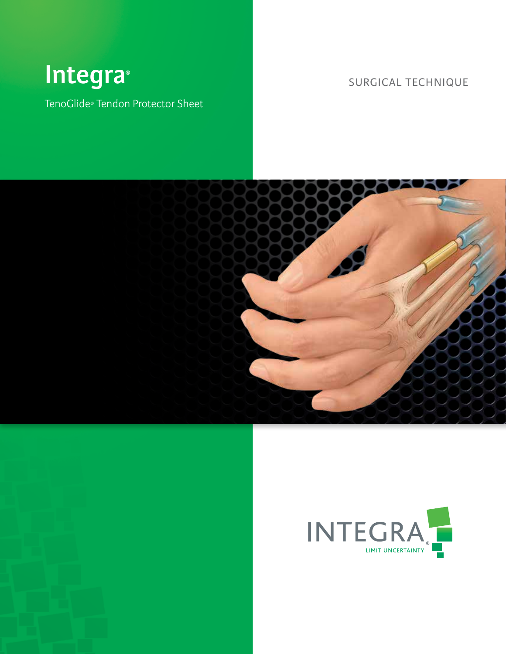# **Integra** SURGICAL TECHNIQUE **®**

TenoGlide® Tendon Protector Sheet



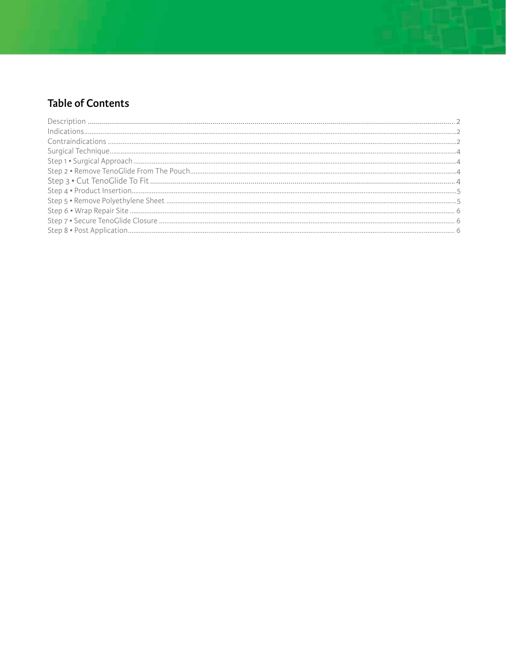# **Table of Contents**

| $Indications2$ |  |
|----------------|--|
|                |  |
|                |  |
|                |  |
|                |  |
|                |  |
|                |  |
|                |  |
|                |  |
|                |  |
|                |  |
|                |  |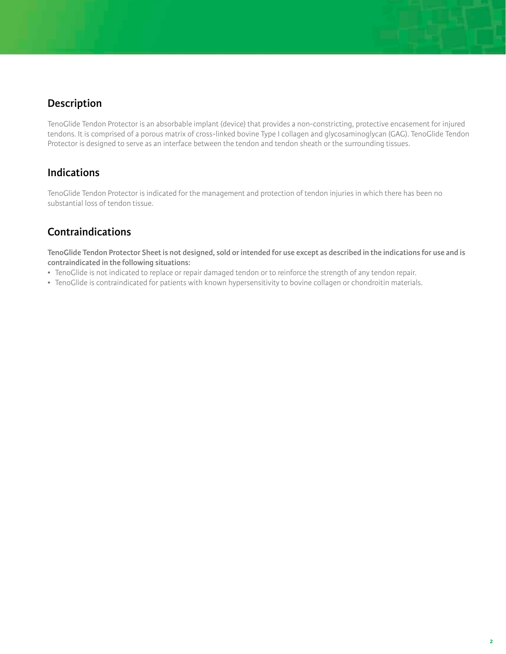#### **Description**

TenoGlide Tendon Protector is an absorbable implant (device) that provides a non-constricting, protective encasement for injured tendons. It is comprised of a porous matrix of cross-linked bovine Type I collagen and glycosaminoglycan (GAG). TenoGlide Tendon Protector is designed to serve as an interface between the tendon and tendon sheath or the surrounding tissues.

#### **Indications**

TenoGlide Tendon Protector is indicated for the management and protection of tendon injuries in which there has been no substantial loss of tendon tissue.

## **Contraindications**

**TenoGlide Tendon Protector Sheet is not designed, sold or intended for use except as described in the indications for use and is contraindicated in the following situations:**

- TenoGlide is not indicated to replace or repair damaged tendon or to reinforce the strength of any tendon repair.
- TenoGlide is contraindicated for patients with known hypersensitivity to bovine collagen or chondroitin materials.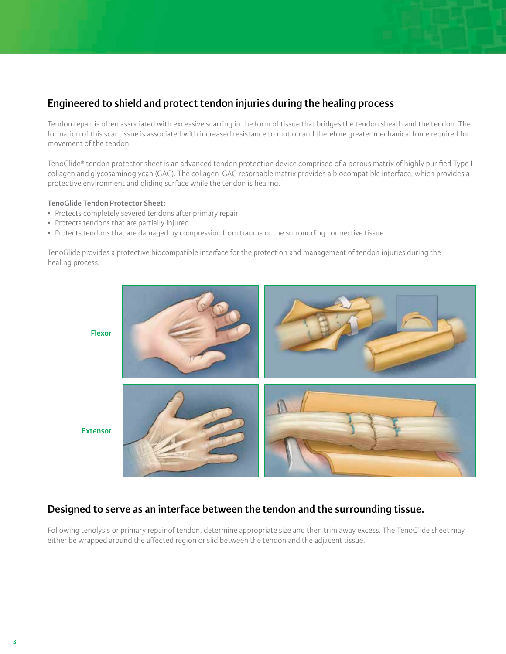### **Engineered to shield and protect tendon injuries during the healing process**

Tendon repair is often associated with excessive scarring in the form of tissue that bridges the tendon sheath and the tendon. The formation of this scar tissue is associated with increased resistance to motion and therefore greater mechanical force required for movement of the tendon.

TenoGlide® tendon protector sheet is an advanced tendon protection device comprised of a porous matrix of highly purified Type I collagen and glycosaminoglycan (GAG). The collagen-GAG resorbable matrix provides a biocompatible interface, which provides a protective environment and gliding surface while the tendon is healing.

#### **TenoGlide Tendon Protector Sheet:**

- Protects completely severed tendons after primary repair
- Protects tendons that are partially injured
- Protects tendons that are damaged by compression from trauma or the surrounding connective tissue

TenoGlide provides a protective biocompatible interface for the protection and management of tendon injuries during the healing process.



**Extensor**

#### **Designed to serve as an interface between the tendon and the surrounding tissue.**

Following tenolysis or primary repair of tendon, determine appropriate size and then trim away excess. The TenoGlide sheet may either be wrapped around the affected region or slid between the tendon and the adjacent tissue.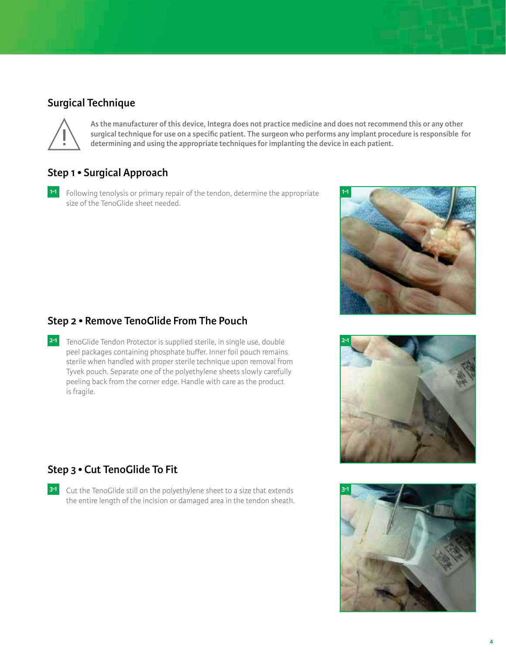#### **Surgical Technique**



**As the manufacturer of this device, Integra does not practice medicine and does not recommend this or any other surgical technique for use on a specific patient. The surgeon who performs any implant procedure is responsible for determining and using the appropriate techniques for implanting the device in each patient.**

#### **Step 1 • Surgical Approach**

Following tenolysis or primary repair of the tendon, determine the appropriate **1-1 1-1** size of the TenoGlide sheet needed.



#### **Step 2 • Remove TenoGlide From The Pouch**

TenoGlide Tendon Protector is supplied sterile, in single use, double **2-1 2-1** peel packages containing phosphate buffer. Inner foil pouch remains sterile when handled with proper sterile technique upon removal from Tyvek pouch. Separate one of the polyethylene sheets slowly carefully peeling back from the corner edge. Handle with care as the product is fragile.



#### **Step 3 • Cut TenoGlide To Fit**

Cut the TenoGlide still on the polyethylene sheet to a size that extends **3-1 3-1**the entire length of the incision or damaged area in the tendon sheath.

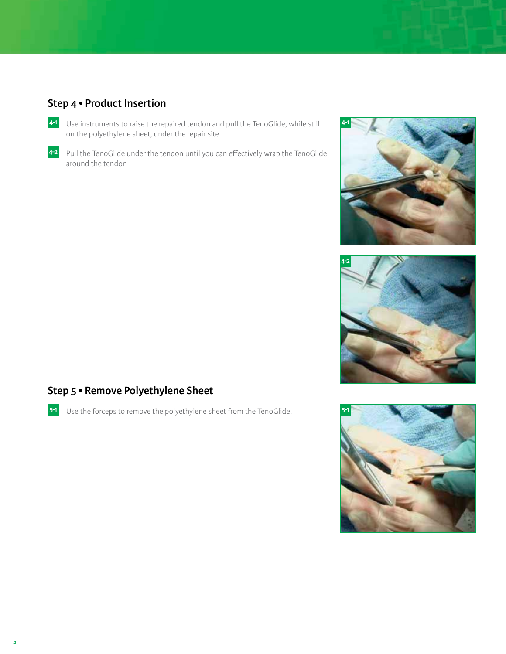# **Step 4 • Product Insertion**

- Use instruments to raise the repaired tendon and pull the TenoGlide, while still **4-1** on the polyethylene sheet, under the repair site.
- 4<sup>2</sup> Pull the TenoGlide under the tendon until you can effectively wrap the TenoGlide around the tendon





## **Step 5 • Remove Polyethylene Sheet**

Use the forceps to remove the polyethylene sheet from the TenoGlide. **5-1 5-1**

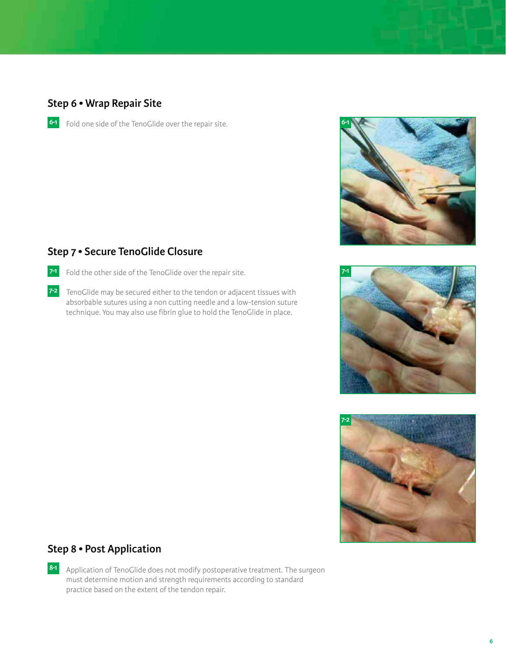#### **Step 6 • Wrap Repair Site**

Fold one side of the TenoGlide over the repair site. **6-1 6-1**



## **Step 7 • Secure TenoGlide Closure**

- Fold the other side of the TenoGlide over the repair site. **7-1**
- 7<sup>-2</sup> TenoGlide may be secured either to the tendon or adjacent tissues with absorbable sutures using a non cutting needle and a low-tension suture technique. You may also use fibrin glue to hold the TenoGlide in place.





#### **Step 8 • Post Application**

Application of TenoGlide does not modify postoperative treatment. The surgeon **8-1** must determine motion and strength requirements according to standard practice based on the extent of the tendon repair.